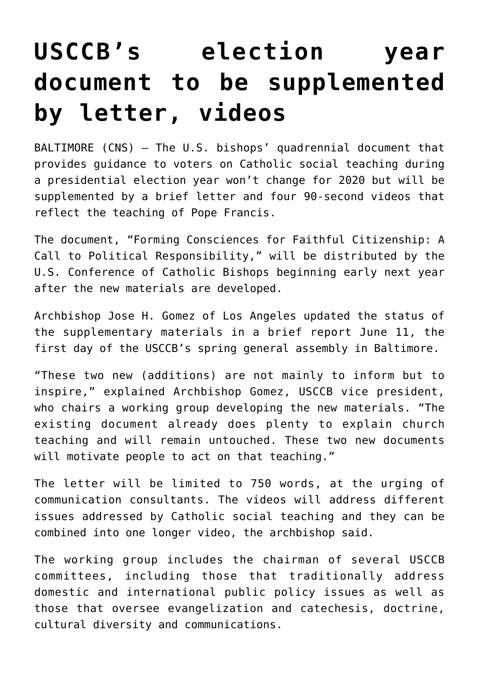## **[USCCB's election year](https://www.osvnews.com/2019/06/12/usccbs-election-year-document-to-be-supplemented-by-letter-videos/) [document to be supplemented](https://www.osvnews.com/2019/06/12/usccbs-election-year-document-to-be-supplemented-by-letter-videos/) [by letter, videos](https://www.osvnews.com/2019/06/12/usccbs-election-year-document-to-be-supplemented-by-letter-videos/)**

BALTIMORE (CNS) — The U.S. bishops' quadrennial document that provides guidance to voters on Catholic social teaching during a presidential election year won't change for 2020 but will be supplemented by a brief letter and four 90-second videos that reflect the teaching of Pope Francis.

The document, "Forming Consciences for Faithful Citizenship: A Call to Political Responsibility," will be distributed by the U.S. Conference of Catholic Bishops beginning early next year after the new materials are developed.

Archbishop Jose H. Gomez of Los Angeles updated the status of the supplementary materials in a brief report June 11, the first day of the USCCB's spring general assembly in Baltimore.

"These two new (additions) are not mainly to inform but to inspire," explained Archbishop Gomez, USCCB vice president, who chairs a working group developing the new materials. "The existing document already does plenty to explain church teaching and will remain untouched. These two new documents will motivate people to act on that teaching."

The letter will be limited to 750 words, at the urging of communication consultants. The videos will address different issues addressed by Catholic social teaching and they can be combined into one longer video, the archbishop said.

The working group includes the chairman of several USCCB committees, including those that traditionally address domestic and international public policy issues as well as those that oversee evangelization and catechesis, doctrine, cultural diversity and communications.